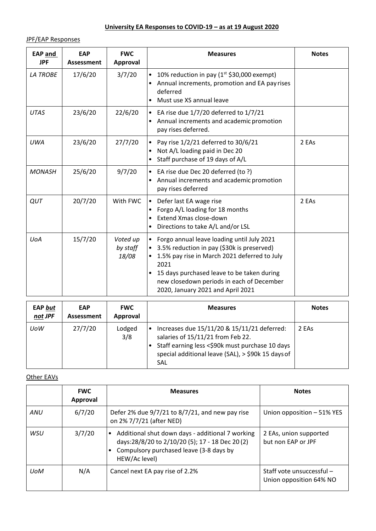## **University EA Responses to COVID-19 – as at 19 August 2020**

JPF/EAP Responses

| <b>EAP and</b><br><b>JPF</b> | <b>EAP</b><br>Assessment | <b>FWC</b><br>Approval        | <b>Measures</b>                                                                                                                                                                                                                                                                               | <b>Notes</b> |
|------------------------------|--------------------------|-------------------------------|-----------------------------------------------------------------------------------------------------------------------------------------------------------------------------------------------------------------------------------------------------------------------------------------------|--------------|
| <b>LA TROBE</b>              | 17/6/20                  | 3/7/20                        | 10% reduction in pay ( $1st$ \$30,000 exempt)<br>$\bullet$<br>Annual increments, promotion and EA pay rises<br>deferred<br>Must use XS annual leave                                                                                                                                           |              |
| <b>UTAS</b>                  | 23/6/20                  | 22/6/20                       | EA rise due $1/7/20$ deferred to $1/7/21$<br>$\bullet$<br>Annual increments and academic promotion<br>pay rises deferred.                                                                                                                                                                     |              |
| <b>UWA</b>                   | 23/6/20                  | 27/7/20                       | Pay rise 1/2/21 deferred to 30/6/21<br>$\bullet$<br>Not A/L loading paid in Dec 20<br>Staff purchase of 19 days of A/L                                                                                                                                                                        | 2 EAs        |
| <b>MONASH</b>                | 25/6/20                  | 9/7/20                        | • EA rise due Dec 20 deferred (to ?)<br>Annual increments and academic promotion<br>$\bullet$<br>pay rises deferred                                                                                                                                                                           |              |
| QUT                          | 20/7/20                  | With FWC                      | Defer last EA wage rise<br>$\bullet$<br>Forgo A/L loading for 18 months<br>Extend Xmas close-down<br>Directions to take A/L and/or LSL                                                                                                                                                        | 2 EAs        |
| <b>UoA</b>                   | 15/7/20                  | Voted up<br>by staff<br>18/08 | Forgo annual leave loading until July 2021<br>3.5% reduction in pay (\$30k is preserved)<br>$\bullet$<br>1.5% pay rise in March 2021 deferred to July<br>2021<br>15 days purchased leave to be taken during<br>new closedown periods in each of December<br>2020, January 2021 and April 2021 |              |

| <b>EAP but</b><br>not JPF | <b>EAP</b><br>Assessment | <b>FWC</b><br>Approval | <b>Measures</b>                                                                                                                                                                                         | <b>Notes</b> |
|---------------------------|--------------------------|------------------------|---------------------------------------------------------------------------------------------------------------------------------------------------------------------------------------------------------|--------------|
| UoW                       | 27/7/20                  | Lodged<br>3/8          | Increases due 15/11/20 & 15/11/21 deferred:<br>salaries of 15/11/21 from Feb 22.<br>Staff earning less <\$90k must purchase 10 days<br>special additional leave (SAL), > \$90k 15 days of<br><b>SAL</b> | 2 EAs        |

## Other EAVs

|            | <b>FWC</b><br>Approval | <b>Measures</b>                                                                                                                                                              | <b>Notes</b>                                         |
|------------|------------------------|------------------------------------------------------------------------------------------------------------------------------------------------------------------------------|------------------------------------------------------|
| ANU        | 6/7/20                 | Defer 2% due 9/7/21 to 8/7/21, and new pay rise<br>on 2% 7/7/21 (after NED)                                                                                                  | Union opposition - 51% YES                           |
| WSU        | 3/7/20                 | Additional shut down days - additional 7 working<br>$\bullet$<br>days:28/8/20 to 2/10/20 (5); 17 - 18 Dec 20 (2)<br>Compulsory purchased leave (3-8 days by<br>HEW/Ac level) | 2 EAs, union supported<br>but non EAP or JPF         |
| <b>UoM</b> | N/A                    | Cancel next EA pay rise of 2.2%                                                                                                                                              | Staff vote unsuccessful -<br>Union opposition 64% NO |